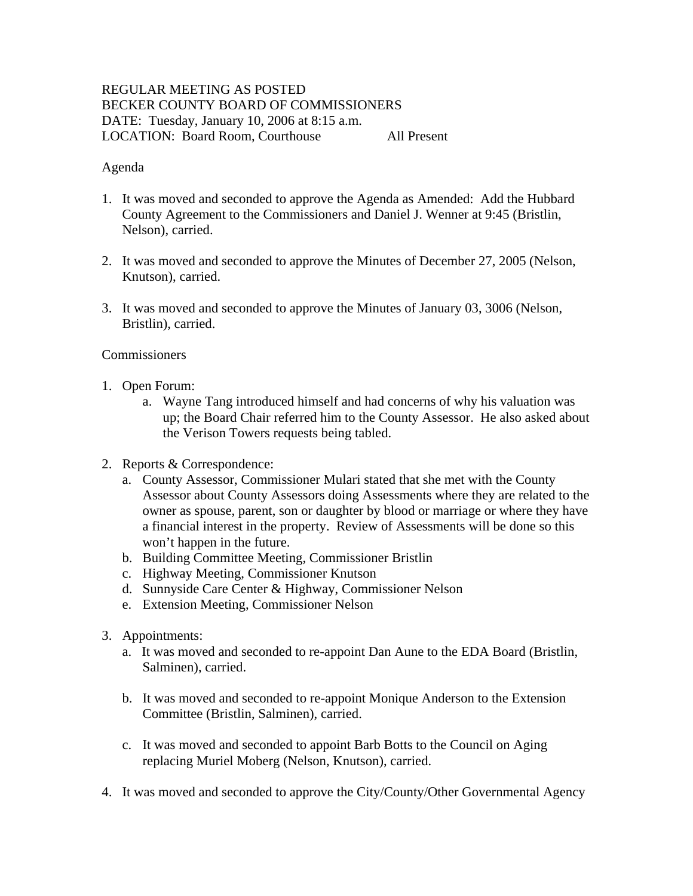# REGULAR MEETING AS POSTED BECKER COUNTY BOARD OF COMMISSIONERS DATE: Tuesday, January 10, 2006 at 8:15 a.m. LOCATION: Board Room, Courthouse All Present

#### Agenda

- 1. It was moved and seconded to approve the Agenda as Amended: Add the Hubbard County Agreement to the Commissioners and Daniel J. Wenner at 9:45 (Bristlin, Nelson), carried.
- 2. It was moved and seconded to approve the Minutes of December 27, 2005 (Nelson, Knutson), carried.
- 3. It was moved and seconded to approve the Minutes of January 03, 3006 (Nelson, Bristlin), carried.

### **Commissioners**

- 1. Open Forum:
	- a. Wayne Tang introduced himself and had concerns of why his valuation was up; the Board Chair referred him to the County Assessor. He also asked about the Verison Towers requests being tabled.
- 2. Reports & Correspondence:
	- a. County Assessor, Commissioner Mulari stated that she met with the County Assessor about County Assessors doing Assessments where they are related to the owner as spouse, parent, son or daughter by blood or marriage or where they have a financial interest in the property. Review of Assessments will be done so this won't happen in the future.
	- b. Building Committee Meeting, Commissioner Bristlin
	- c. Highway Meeting, Commissioner Knutson
	- d. Sunnyside Care Center & Highway, Commissioner Nelson
	- e. Extension Meeting, Commissioner Nelson
- 3. Appointments:
	- a. It was moved and seconded to re-appoint Dan Aune to the EDA Board (Bristlin, Salminen), carried.
	- b. It was moved and seconded to re-appoint Monique Anderson to the Extension Committee (Bristlin, Salminen), carried.
	- c. It was moved and seconded to appoint Barb Botts to the Council on Aging replacing Muriel Moberg (Nelson, Knutson), carried.
- 4. It was moved and seconded to approve the City/County/Other Governmental Agency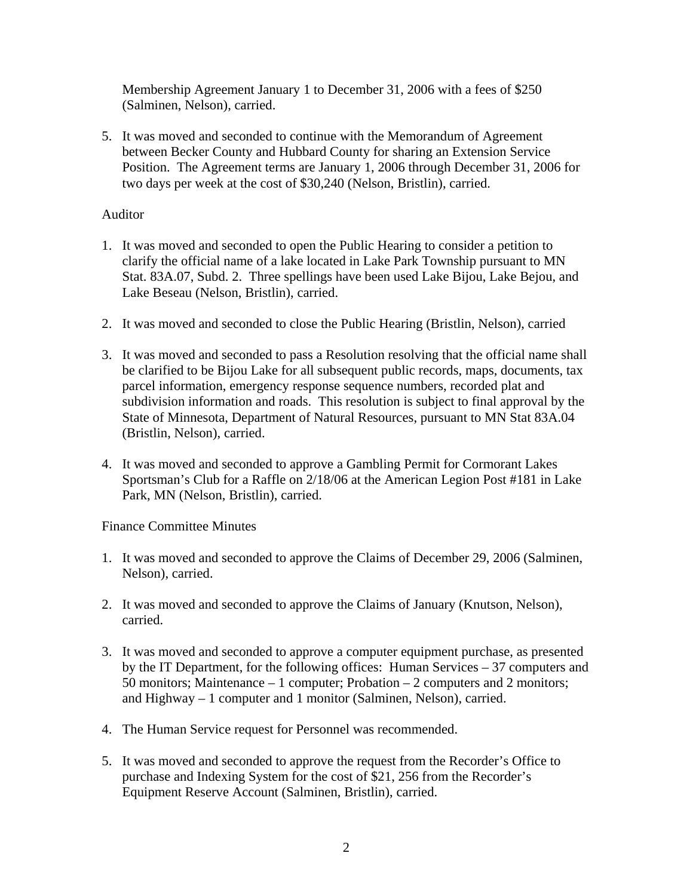Membership Agreement January 1 to December 31, 2006 with a fees of \$250 (Salminen, Nelson), carried.

5. It was moved and seconded to continue with the Memorandum of Agreement between Becker County and Hubbard County for sharing an Extension Service Position. The Agreement terms are January 1, 2006 through December 31, 2006 for two days per week at the cost of \$30,240 (Nelson, Bristlin), carried.

## Auditor

- 1. It was moved and seconded to open the Public Hearing to consider a petition to clarify the official name of a lake located in Lake Park Township pursuant to MN Stat. 83A.07, Subd. 2. Three spellings have been used Lake Bijou, Lake Bejou, and Lake Beseau (Nelson, Bristlin), carried.
- 2. It was moved and seconded to close the Public Hearing (Bristlin, Nelson), carried
- 3. It was moved and seconded to pass a Resolution resolving that the official name shall be clarified to be Bijou Lake for all subsequent public records, maps, documents, tax parcel information, emergency response sequence numbers, recorded plat and subdivision information and roads. This resolution is subject to final approval by the State of Minnesota, Department of Natural Resources, pursuant to MN Stat 83A.04 (Bristlin, Nelson), carried.
- 4. It was moved and seconded to approve a Gambling Permit for Cormorant Lakes Sportsman's Club for a Raffle on 2/18/06 at the American Legion Post #181 in Lake Park, MN (Nelson, Bristlin), carried.

Finance Committee Minutes

- 1. It was moved and seconded to approve the Claims of December 29, 2006 (Salminen, Nelson), carried.
- 2. It was moved and seconded to approve the Claims of January (Knutson, Nelson), carried.
- 3. It was moved and seconded to approve a computer equipment purchase, as presented by the IT Department, for the following offices: Human Services – 37 computers and 50 monitors; Maintenance – 1 computer; Probation – 2 computers and 2 monitors; and Highway – 1 computer and 1 monitor (Salminen, Nelson), carried.
- 4. The Human Service request for Personnel was recommended.
- 5. It was moved and seconded to approve the request from the Recorder's Office to purchase and Indexing System for the cost of \$21, 256 from the Recorder's Equipment Reserve Account (Salminen, Bristlin), carried.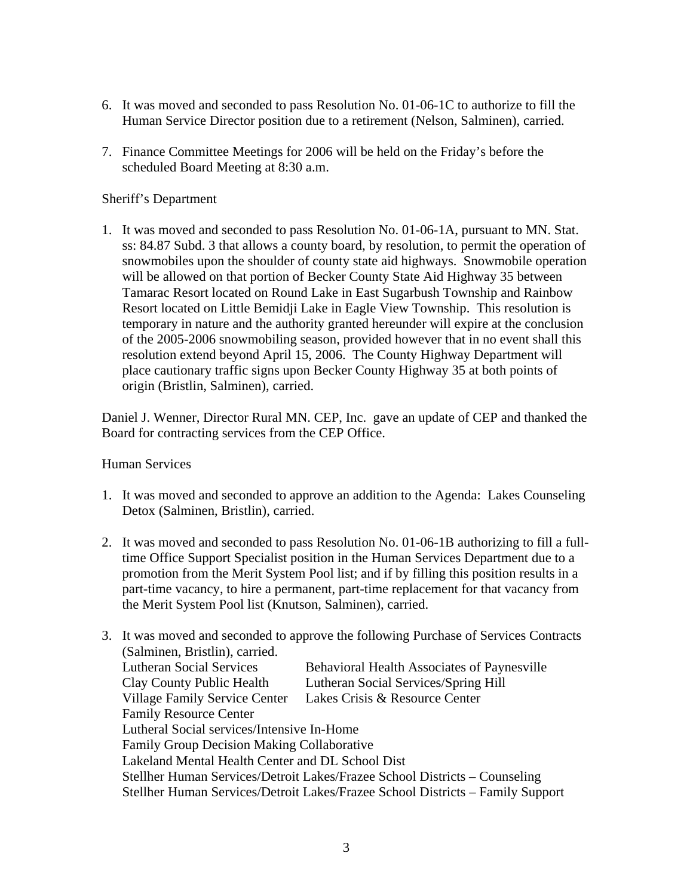- 6. It was moved and seconded to pass Resolution No. 01-06-1C to authorize to fill the Human Service Director position due to a retirement (Nelson, Salminen), carried.
- 7. Finance Committee Meetings for 2006 will be held on the Friday's before the scheduled Board Meeting at 8:30 a.m.

## Sheriff's Department

1. It was moved and seconded to pass Resolution No. 01-06-1A, pursuant to MN. Stat. ss: 84.87 Subd. 3 that allows a county board, by resolution, to permit the operation of snowmobiles upon the shoulder of county state aid highways. Snowmobile operation will be allowed on that portion of Becker County State Aid Highway 35 between Tamarac Resort located on Round Lake in East Sugarbush Township and Rainbow Resort located on Little Bemidji Lake in Eagle View Township. This resolution is temporary in nature and the authority granted hereunder will expire at the conclusion of the 2005-2006 snowmobiling season, provided however that in no event shall this resolution extend beyond April 15, 2006. The County Highway Department will place cautionary traffic signs upon Becker County Highway 35 at both points of origin (Bristlin, Salminen), carried.

Daniel J. Wenner, Director Rural MN. CEP, Inc. gave an update of CEP and thanked the Board for contracting services from the CEP Office.

### Human Services

- 1. It was moved and seconded to approve an addition to the Agenda: Lakes Counseling Detox (Salminen, Bristlin), carried.
- 2. It was moved and seconded to pass Resolution No. 01-06-1B authorizing to fill a fulltime Office Support Specialist position in the Human Services Department due to a promotion from the Merit System Pool list; and if by filling this position results in a part-time vacancy, to hire a permanent, part-time replacement for that vacancy from the Merit System Pool list (Knutson, Salminen), carried.

|  | 3. It was moved and seconded to approve the following Purchase of Services Contracts<br>(Salminen, Bristlin), carried.                                                                                                                                                                                              |                                                    |
|--|---------------------------------------------------------------------------------------------------------------------------------------------------------------------------------------------------------------------------------------------------------------------------------------------------------------------|----------------------------------------------------|
|  |                                                                                                                                                                                                                                                                                                                     |                                                    |
|  | <b>Lutheran Social Services</b>                                                                                                                                                                                                                                                                                     | <b>Behavioral Health Associates of Paynesville</b> |
|  | Clay County Public Health                                                                                                                                                                                                                                                                                           | Lutheran Social Services/Spring Hill               |
|  | <b>Village Family Service Center</b>                                                                                                                                                                                                                                                                                | Lakes Crisis & Resource Center                     |
|  | <b>Family Resource Center</b>                                                                                                                                                                                                                                                                                       |                                                    |
|  | Lutheral Social services/Intensive In-Home<br><b>Family Group Decision Making Collaborative</b><br>Lakeland Mental Health Center and DL School Dist<br>Stellher Human Services/Detroit Lakes/Frazee School Districts – Counseling<br>Stellher Human Services/Detroit Lakes/Frazee School Districts – Family Support |                                                    |
|  |                                                                                                                                                                                                                                                                                                                     |                                                    |
|  |                                                                                                                                                                                                                                                                                                                     |                                                    |
|  |                                                                                                                                                                                                                                                                                                                     |                                                    |
|  |                                                                                                                                                                                                                                                                                                                     |                                                    |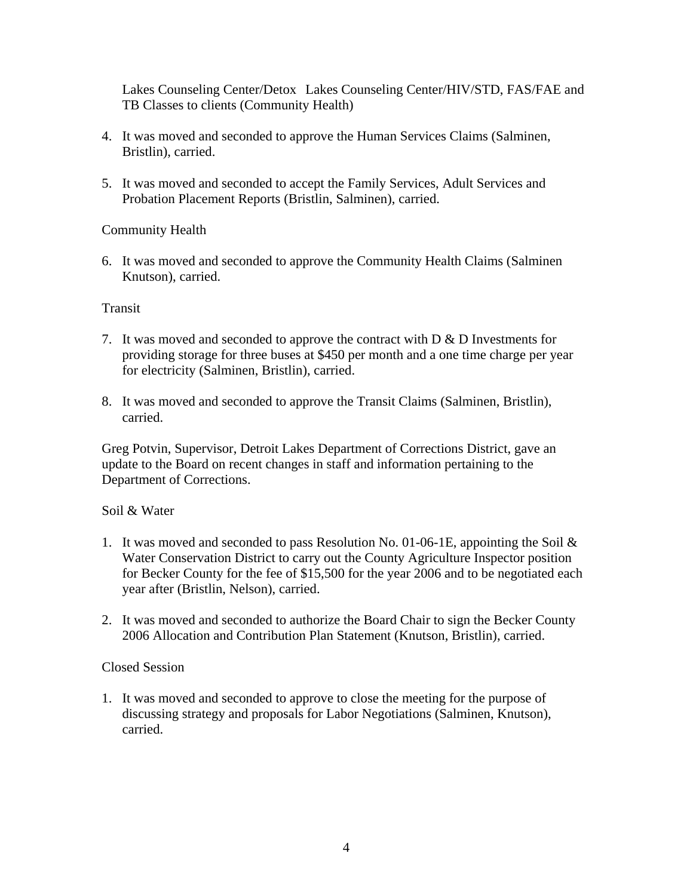Lakes Counseling Center/Detox Lakes Counseling Center/HIV/STD, FAS/FAE and TB Classes to clients (Community Health)

- 4. It was moved and seconded to approve the Human Services Claims (Salminen, Bristlin), carried.
- 5. It was moved and seconded to accept the Family Services, Adult Services and Probation Placement Reports (Bristlin, Salminen), carried.

# Community Health

6. It was moved and seconded to approve the Community Health Claims (Salminen Knutson), carried.

### Transit

- 7. It was moved and seconded to approve the contract with  $D \& D$  Investments for providing storage for three buses at \$450 per month and a one time charge per year for electricity (Salminen, Bristlin), carried.
- 8. It was moved and seconded to approve the Transit Claims (Salminen, Bristlin), carried.

Greg Potvin, Supervisor, Detroit Lakes Department of Corrections District, gave an update to the Board on recent changes in staff and information pertaining to the Department of Corrections.

### Soil & Water

- 1. It was moved and seconded to pass Resolution No. 01-06-1E, appointing the Soil & Water Conservation District to carry out the County Agriculture Inspector position for Becker County for the fee of \$15,500 for the year 2006 and to be negotiated each year after (Bristlin, Nelson), carried.
- 2. It was moved and seconded to authorize the Board Chair to sign the Becker County 2006 Allocation and Contribution Plan Statement (Knutson, Bristlin), carried.

### Closed Session

1. It was moved and seconded to approve to close the meeting for the purpose of discussing strategy and proposals for Labor Negotiations (Salminen, Knutson), carried.